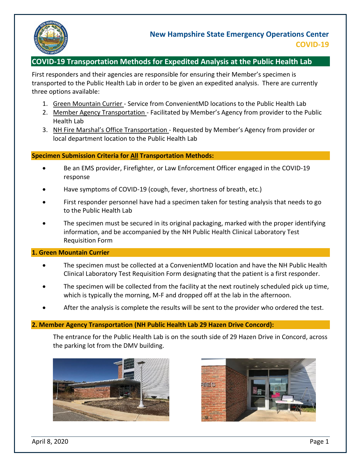

# **COVID-19 Transportation Methods for Expedited Analysis at the Public Health Lab**

First responders and their agencies are responsible for ensuring their Member's specimen is transported to the Public Health Lab in order to be given an expedited analysis. There are currently three options available:

- 1. Green Mountain Currier Service from ConvenientMD locations to the Public Health Lab
- 2. Member Agency Transportation Facilitated by Member's Agency from provider to the Public Health Lab
- 3. NH Fire Marshal's Office Transportation Requested by Member's Agency from provider or local department location to the Public Health Lab

# **Specimen Submission Criteria for All Transportation Methods:**

- Be an EMS provider, Firefighter, or Law Enforcement Officer engaged in the COVID-19 response
- Have symptoms of COVID-19 (cough, fever, shortness of breath, etc.)
- First responder personnel have had a specimen taken for testing analysis that needs to go to the Public Health Lab
- The specimen must be secured in its original packaging, marked with the proper identifying information, and be accompanied by the NH Public Health Clinical Laboratory Test Requisition Form

### **1. Green Mountain Currier**

- The specimen must be collected at a ConvenientMD location and have the NH Public Health Clinical Laboratory Test Requisition Form designating that the patient is a first responder.
- The specimen will be collected from the facility at the next routinely scheduled pick up time, which is typically the morning, M-F and dropped off at the lab in the afternoon.
- After the analysis is complete the results will be sent to the provider who ordered the test.

### **2. Member Agency Transportation (NH Public Health Lab 29 Hazen Drive Concord):**

The entrance for the Public Health Lab is on the south side of 29 Hazen Drive in Concord, across the parking lot from the DMV building.





April 8, 2020 Page 1